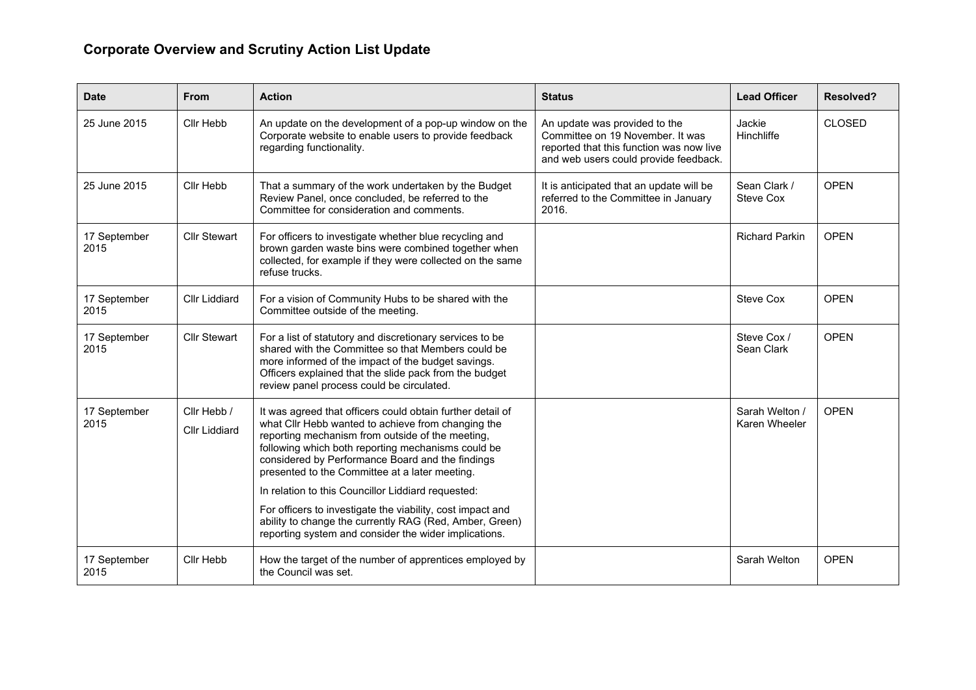## **Corporate Overview and Scrutiny Action List Update**

| Date                 | <b>From</b>                         | <b>Action</b>                                                                                                                                                                                                                                                                                                                    | <b>Status</b>                                                                                                                                          | <b>Lead Officer</b>             | <b>Resolved?</b> |
|----------------------|-------------------------------------|----------------------------------------------------------------------------------------------------------------------------------------------------------------------------------------------------------------------------------------------------------------------------------------------------------------------------------|--------------------------------------------------------------------------------------------------------------------------------------------------------|---------------------------------|------------------|
| 25 June 2015         | Cllr Hebb                           | An update on the development of a pop-up window on the<br>Corporate website to enable users to provide feedback<br>regarding functionality.                                                                                                                                                                                      | An update was provided to the<br>Committee on 19 November. It was<br>reported that this function was now live<br>and web users could provide feedback. | Jackie<br>Hinchliffe            | <b>CLOSED</b>    |
| 25 June 2015         | Cllr Hebb                           | That a summary of the work undertaken by the Budget<br>Review Panel, once concluded, be referred to the<br>Committee for consideration and comments.                                                                                                                                                                             | It is anticipated that an update will be<br>referred to the Committee in January<br>2016.                                                              | Sean Clark /<br>Steve Cox       | <b>OPEN</b>      |
| 17 September<br>2015 | <b>Cllr Stewart</b>                 | For officers to investigate whether blue recycling and<br>brown garden waste bins were combined together when<br>collected, for example if they were collected on the same<br>refuse trucks.                                                                                                                                     |                                                                                                                                                        | <b>Richard Parkin</b>           | <b>OPEN</b>      |
| 17 September<br>2015 | <b>Cllr Liddiard</b>                | For a vision of Community Hubs to be shared with the<br>Committee outside of the meeting.                                                                                                                                                                                                                                        |                                                                                                                                                        | Steve Cox                       | <b>OPFN</b>      |
| 17 September<br>2015 | <b>Cllr Stewart</b>                 | For a list of statutory and discretionary services to be<br>shared with the Committee so that Members could be<br>more informed of the impact of the budget savings.<br>Officers explained that the slide pack from the budget<br>review panel process could be circulated.                                                      |                                                                                                                                                        | Steve Cox /<br>Sean Clark       | <b>OPEN</b>      |
| 17 September<br>2015 | Cllr Hebb /<br><b>Cllr Liddiard</b> | It was agreed that officers could obtain further detail of<br>what Cllr Hebb wanted to achieve from changing the<br>reporting mechanism from outside of the meeting,<br>following which both reporting mechanisms could be<br>considered by Performance Board and the findings<br>presented to the Committee at a later meeting. |                                                                                                                                                        | Sarah Welton /<br>Karen Wheeler | <b>OPEN</b>      |
|                      |                                     | In relation to this Councillor Liddiard requested:                                                                                                                                                                                                                                                                               |                                                                                                                                                        |                                 |                  |
|                      |                                     | For officers to investigate the viability, cost impact and<br>ability to change the currently RAG (Red, Amber, Green)<br>reporting system and consider the wider implications.                                                                                                                                                   |                                                                                                                                                        |                                 |                  |
| 17 September<br>2015 | Cllr Hebb                           | How the target of the number of apprentices employed by<br>the Council was set.                                                                                                                                                                                                                                                  |                                                                                                                                                        | Sarah Welton                    | <b>OPEN</b>      |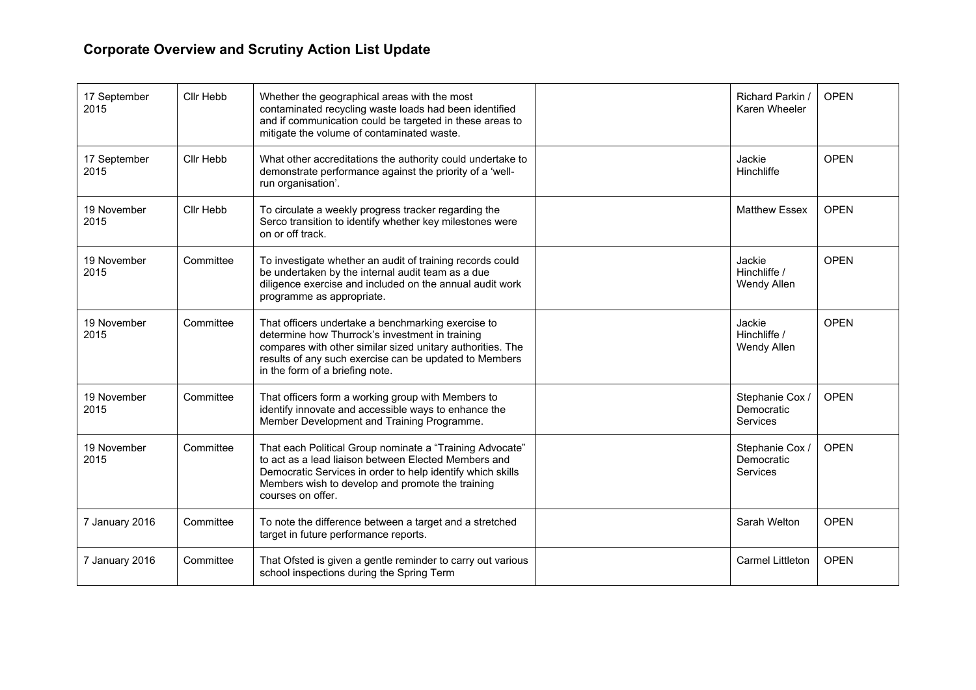## **Corporate Overview and Scrutiny Action List Update**

| 17 September<br>2015 | Cllr Hebb | Whether the geographical areas with the most<br>contaminated recycling waste loads had been identified<br>and if communication could be targeted in these areas to<br>mitigate the volume of contaminated waste.                                                 | Richard Parkin /<br>Karen Wheeler                | <b>OPEN</b> |
|----------------------|-----------|------------------------------------------------------------------------------------------------------------------------------------------------------------------------------------------------------------------------------------------------------------------|--------------------------------------------------|-------------|
| 17 September<br>2015 | Cllr Hebb | What other accreditations the authority could undertake to<br>demonstrate performance against the priority of a 'well-<br>run organisation'.                                                                                                                     | Jackie<br>Hinchliffe                             | <b>OPEN</b> |
| 19 November<br>2015  | Cllr Hebb | To circulate a weekly progress tracker regarding the<br>Serco transition to identify whether key milestones were<br>on or off track.                                                                                                                             | <b>Matthew Essex</b>                             | <b>OPEN</b> |
| 19 November<br>2015  | Committee | To investigate whether an audit of training records could<br>be undertaken by the internal audit team as a due<br>diligence exercise and included on the annual audit work<br>programme as appropriate.                                                          | Jackie<br>Hinchliffe /<br>Wendy Allen            | <b>OPEN</b> |
| 19 November<br>2015  | Committee | That officers undertake a benchmarking exercise to<br>determine how Thurrock's investment in training<br>compares with other similar sized unitary authorities. The<br>results of any such exercise can be updated to Members<br>in the form of a briefing note. | Jackie<br>Hinchliffe /<br>Wendy Allen            | <b>OPEN</b> |
| 19 November<br>2015  | Committee | That officers form a working group with Members to<br>identify innovate and accessible ways to enhance the<br>Member Development and Training Programme.                                                                                                         | Stephanie Cox /<br>Democratic<br><b>Services</b> | <b>OPEN</b> |
| 19 November<br>2015  | Committee | That each Political Group nominate a "Training Advocate"<br>to act as a lead liaison between Elected Members and<br>Democratic Services in order to help identify which skills<br>Members wish to develop and promote the training<br>courses on offer.          | Stephanie Cox /<br>Democratic<br>Services        | <b>OPEN</b> |
| 7 January 2016       | Committee | To note the difference between a target and a stretched<br>target in future performance reports.                                                                                                                                                                 | Sarah Welton                                     | <b>OPEN</b> |
| 7 January 2016       | Committee | That Ofsted is given a gentle reminder to carry out various<br>school inspections during the Spring Term                                                                                                                                                         | <b>Carmel Littleton</b>                          | <b>OPEN</b> |